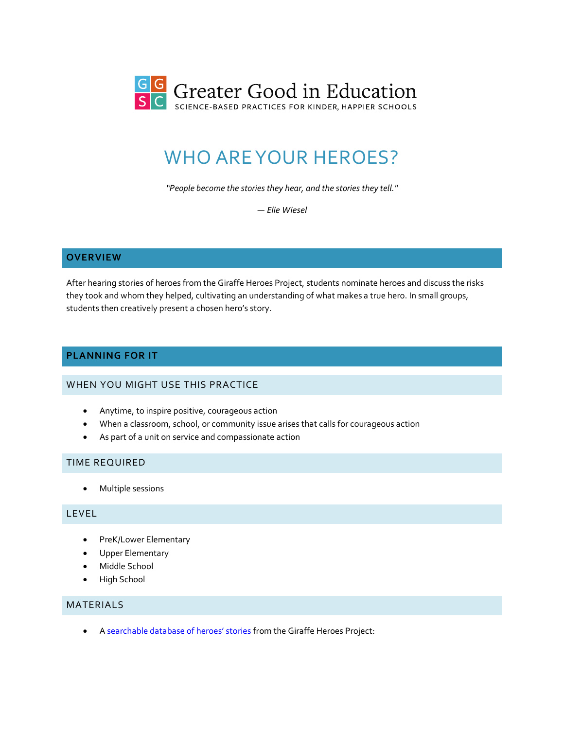

# WHO ARE YOUR HEROES?

*"People become the stories they hear, and the stories they tell."*

*— Elie Wiesel*

#### **OVERVIEW**

After hearing stories of heroes from the Giraffe Heroes Project, students nominate heroes and discuss the risks they took and whom they helped, cultivating an understanding of what makes a true hero. In small groups, students then creatively present a chosen hero's story.

#### **PLANNING FOR IT**

## WHEN YOU MIGHT USE THIS PRACTICE

- Anytime, to inspire positive, courageous action
- When a classroom, school, or community issue arises that calls for courageous action
- As part of a unit on service and compassionate action

#### TIME REQUIRED

• Multiple sessions

#### LEVEL

- PreK/Lower Elementary
- Upper Elementary
- Middle School
- High School

## MATERIALS

• A [searchable database of heroes' stories](http://giraffeheroes.org/find-giraffe/) from the Giraffe Heroes Project: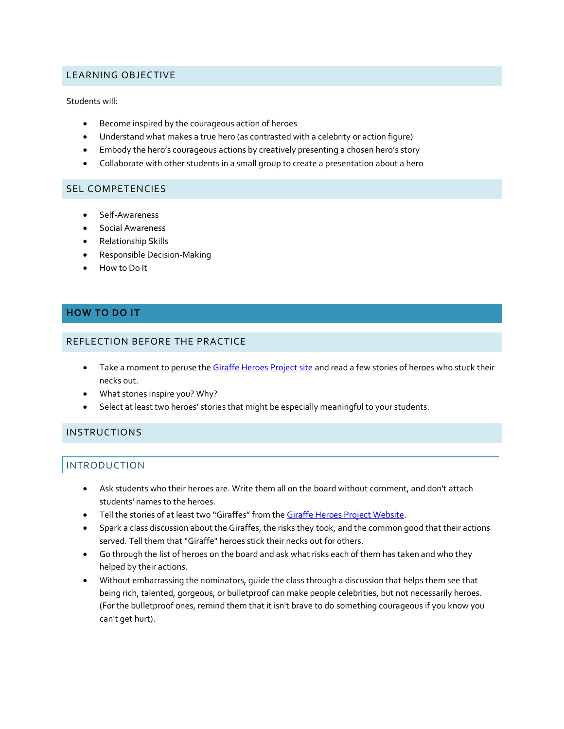## LEARNING OBJECTIVE

Students will:

- Become inspired by the courageous action of heroes
- Understand what makes a true hero (as contrasted with a celebrity or action figure)
- Embody the hero's courageous actions by creatively presenting a chosen hero's story
- Collaborate with other students in a small group to create a presentation about a hero

## SEL COMPETENCIES

- Self-Awareness
- Social Awareness
- Relationship Skills
- Responsible Decision-Making
- How to Do It

# **HOW TO DO IT**

## REFLECTION BEFORE THE PRACTICE

- Take a moment to peruse th[e Giraffe Heroes Project site](http://giraffeheroes.org/find-giraffe/) and read a few stories of heroes who stuck their necks out.
- What stories inspire you? Why?
- Select at least two heroes' stories that might be especially meaningful to your students.

# INSTRUCTIONS

## INTRODUCTION

- Ask students who their heroes are. Write them all on the board without comment, and don't attach students' names to the heroes.
- Tell the stories of at least two "Giraffes" from the [Giraffe Heroes Project Website.](http://giraffeheroes.org/find-giraffe/)
- Spark a class discussion about the Giraffes, the risks they took, and the common good that their actions served. Tell them that "Giraffe" heroes stick their necks out for others.
- Go through the list of heroes on the board and ask what risks each of them has taken and who they helped by their actions.
- Without embarrassing the nominators, guide the class through a discussion that helps them see that being rich, talented, gorgeous, or bulletproof can make people celebrities, but not necessarily heroes. (For the bulletproof ones, remind them that it isn't brave to do something courageous if you know you can't get hurt).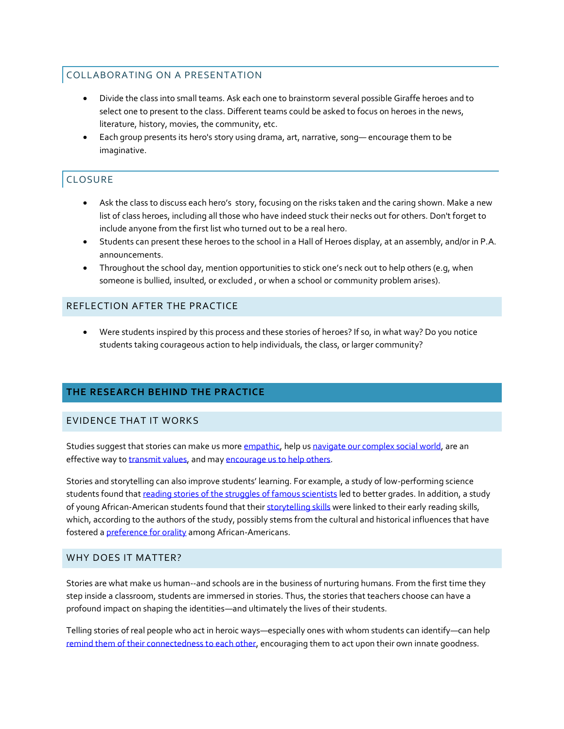# COLLABORATING ON A PRESENTATION

- Divide the class into small teams. Ask each one to brainstorm several possible Giraffe heroes and to select one to present to the class. Different teams could be asked to focus on heroes in the news, literature, history, movies, the community, etc.
- Each group presents its hero's story using drama, art, narrative, song— encourage them to be imaginative.

# **CLOSURE**

- Ask the class to discuss each hero's story, focusing on the risks taken and the caring shown. Make a new list of class heroes, including all those who have indeed stuck their necks out for others. Don't forget to include anyone from the first list who turned out to be a real hero.
- Students can present these heroes to the school in a Hall of Heroes display, at an assembly, and/or in P.A. announcements.
- Throughout the school day, mention opportunities to stick one's neck out to help others (e.g, when someone is bullied, insulted, or excluded , or when a school or community problem arises).

## REFLECTION AFTER THE PRACTICE

• Were students inspired by this process and these stories of heroes? If so, in what way? Do you notice students taking courageous action to help individuals, the class, or larger community?

## **THE RESEARCH BEHIND THE PRACTICE**

#### EVIDENCE THAT IT WORKS

Studies suggest that stories can make us mor[e empathic,](https://www.researchgate.net/publication/51554441_Emotion_and_narrative_fiction_Interactive_influences_before_during_and_after_reading) help u[s navigate our complex social world,](https://greatergood.berkeley.edu/article/item/a_feeling_for_fiction) are an effective way t[o transmit values,](https://greatergood.berkeley.edu/article/item/how_stories_change_brain) and ma[y encourage us to help others.](https://greatergood.berkeley.edu/article/item/how_stories_change_brain)

Stories and storytelling can also improve students' learning. For example, a study of low-performing science students found tha[t reading stories of the struggles of famous scientists](https://www.apa.org/pubs/journals/releases/edu-edu0000092.pdf) led to better grades. In addition, a study of young African-American students found that their [storytelling skills](https://greatergood.berkeley.edu/article/item/why_storytelling_skills_matter_for_african_american_kids) were linked to their early reading skills, which, according to the authors of the study, possibly stems from the cultural and historical influences that have fostered [a preference for orality](https://books.google.com/books?hl=en&lr=&id=5XuRAgAAQBAJ&oi=fnd&pg=PP1&dq=tempii+champion+book&ots=u6FexFy8Kh&sig=nUUvxu4HI6vjdjbcxSVkJTA9OqM#v=onepage&q=tempii%20champion%20book&f=false) among African-Americans.

#### WHY DOES IT MATTER?

Stories are what make us human--and schools are in the business of nurturing humans. From the first time they step inside a classroom, students are immersed in stories. Thus, the stories that teachers choose can have a profound impact on shaping the identities—and ultimately the lives of their students.

Telling stories of real people who act in heroic ways—especially ones with whom students can identify—can help [remind them of their connectedness to each other,](https://journals.sagepub.com/doi/abs/10.1111/j.1467-9280.2009.02419.x) encouraging them to act upon their own innate goodness.